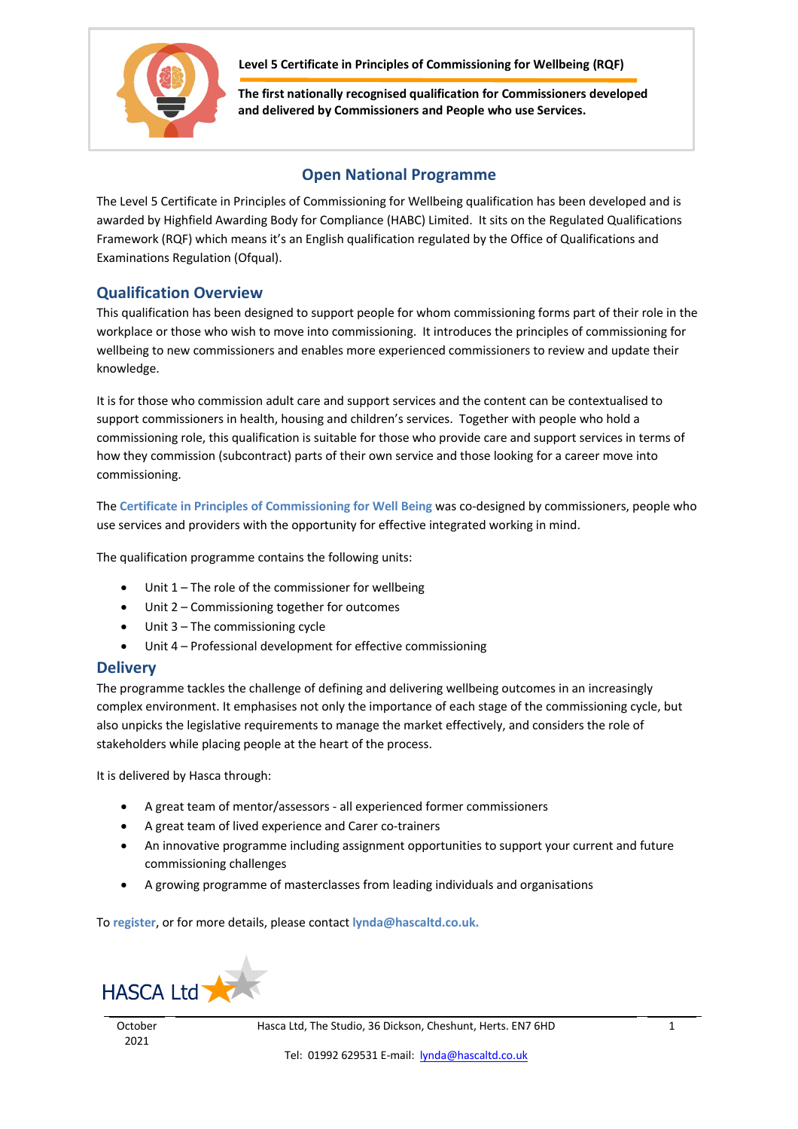

 **Level 5 Certificate in Principles of Commissioning for Wellbeing (RQF)**

**The first nationally recognised qualification for Commissioners developed and delivered by Commissioners and People who use Services.**

## **Open National Programme**

The Level 5 Certificate in Principles of Commissioning for Wellbeing qualification has been developed and is awarded by Highfield Awarding Body for Compliance (HABC) Limited. It sits on the Regulated Qualifications Framework (RQF) which means it's an English qualification regulated by the Office of Qualifications and Examinations Regulation (Ofqual).

## **Qualification Overview**

This qualification has been designed to support people for whom commissioning forms part of their role in the workplace or those who wish to move into commissioning. It introduces the principles of commissioning for wellbeing to new commissioners and enables more experienced commissioners to review and update their knowledge.

It is for those who commission adult care and support services and the content can be contextualised to support commissioners in health, housing and children's services. Together with people who hold a commissioning role, this qualification is suitable for those who provide care and support services in terms of how they commission (subcontract) parts of their own service and those looking for a career move into commissioning.

The **Certificate in Principles of Commissioning for Well Being** was co-designed by commissioners, people who use services and providers with the opportunity for effective integrated working in mind.

The qualification programme contains the following units:

- Unit 1 The role of the commissioner for wellbeing
- Unit 2 Commissioning together for outcomes
- Unit 3 The commissioning cycle
- Unit 4 Professional development for effective commissioning

## **Delivery**

The programme tackles the challenge of defining and delivering wellbeing outcomes in an increasingly complex environment. It emphasises not only the importance of each stage of the commissioning cycle, but also unpicks the legislative requirements to manage the market effectively, and considers the role of stakeholders while placing people at the heart of the process.

It is delivered by Hasca through:

- A great team of mentor/assessors all experienced former commissioners
- A great team of lived experience and Carer co-trainers
- An innovative programme including assignment opportunities to support your current and future commissioning challenges
- A growing programme of masterclasses from leading individuals and organisations

To **register**, or for more details, please contact **lynda@hascaltd.co.uk.** 



**October** 2021